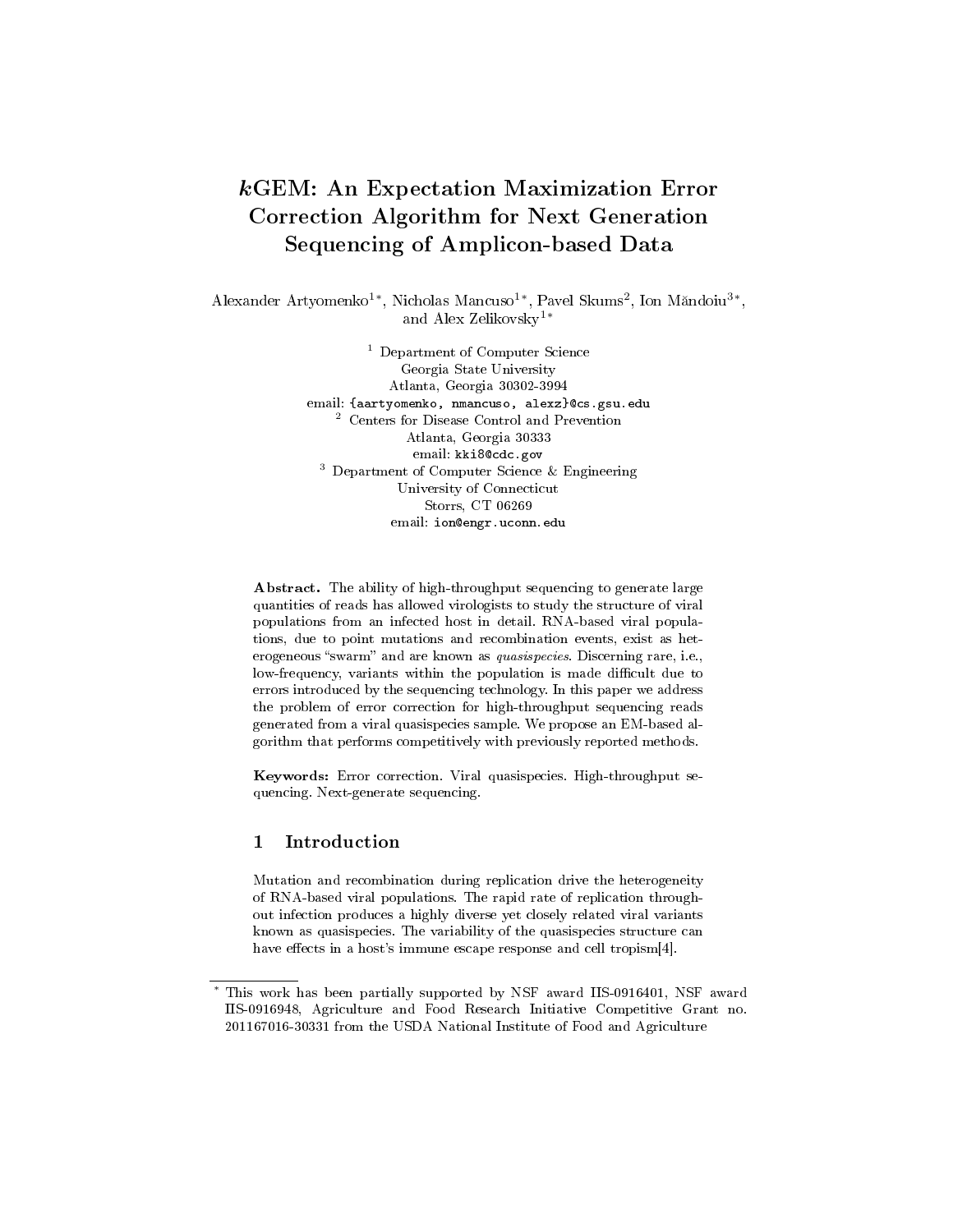# kGEM: An Expectation Maximization Error Correction Algorithm for Next Generation Sequencing of Amplicon-based Data

Alexander Artyomenko<sup>1\*</sup>, Nicholas Mancuso<sup>1\*</sup>, Pavel Skums<sup>2</sup>, Ion Măndoiu<sup>3\*</sup>, and Alex Zelikovsky1<sup>∗</sup>

> <sup>1</sup> Department of Computer Science Georgia State University Atlanta, Georgia 30302-3994 email: {aartyomenko, nmancuso, alexz}@cs.gsu.edu <sup>2</sup> Centers for Disease Control and Prevention Atlanta, Georgia 30333 email: kki8@cdc.gov <sup>3</sup> Department of Computer Science & Engineering University of Connecticut Storrs, CT 06269 email: ion@engr.uconn.edu

Abstract. The ability of high-throughput sequencing to generate large quantities of reads has allowed virologists to study the structure of viral populations from an infected host in detail. RNA-based viral populations, due to point mutations and recombination events, exist as heterogeneous "swarm" and are known as *quasispecies*. Discerning rare, i.e., low-frequency, variants within the population is made difficult due to errors introduced by the sequencing technology. In this paper we address the problem of error correction for high-throughput sequencing reads generated from a viral quasispecies sample. We propose an EM-based algorithm that performs competitively with previously reported methods.

Keywords: Error correction. Viral quasispecies. High-throughput sequencing. Next-generate sequencing.

## 1 Introduction

Mutation and recombination during replication drive the heterogeneity of RNA-based viral populations. The rapid rate of replication throughout infection produces a highly diverse yet closely related viral variants known as quasispecies. The variability of the quasispecies structure can have effects in a host's immune escape response and cell tropism[4].

This work has been partially supported by NSF award IIS-0916401, NSF award IIS-0916948, Agriculture and Food Research Initiative Competitive Grant no. 201167016-30331 from the USDA National Institute of Food and Agriculture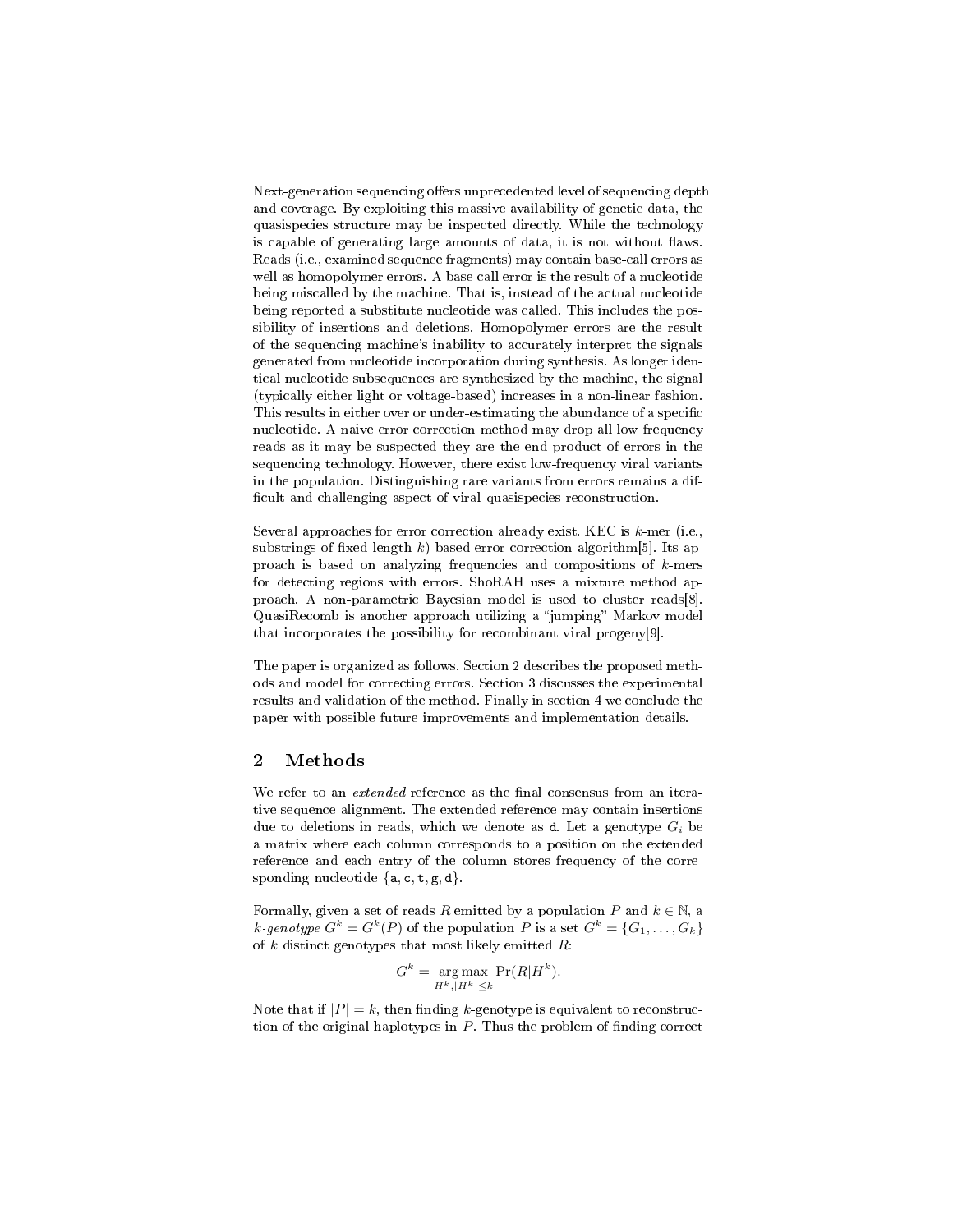Next-generation sequencing offers unprecedented level of sequencing depth and coverage. By exploiting this massive availability of genetic data, the quasispecies structure may be inspected directly. While the technology is capable of generating large amounts of data, it is not without flaws. Reads (i.e., examined sequence fragments) may contain base-call errors as well as homopolymer errors. A base-call error is the result of a nucleotide being miscalled by the machine. That is, instead of the actual nucleotide being reported a substitute nucleotide was called. This includes the possibility of insertions and deletions. Homopolymer errors are the result of the sequencing machine's inability to accurately interpret the signals generated from nucleotide incorporation during synthesis. As longer identical nucleotide subsequences are synthesized by the machine, the signal (typically either light or voltage-based) increases in a non-linear fashion. This results in either over or under-estimating the abundance of a specific nucleotide. A naive error correction method may drop all low frequency reads as it may be suspected they are the end product of errors in the sequencing technology. However, there exist low-frequency viral variants in the population. Distinguishing rare variants from errors remains a dif ficult and challenging aspect of viral quasispecies reconstruction.

Several approaches for error correction already exist. KEC is  $k$ -mer (i.e., substrings of fixed length k) based error correction algorithm [5]. Its approach is based on analyzing frequencies and compositions of k-mers for detecting regions with errors. ShoRAH uses a mixture method approach. A non-parametric Bayesian model is used to cluster reads[8]. QuasiRecomb is another approach utilizing a "jumping" Markov model that incorporates the possibility for recombinant viral progeny[9].

The paper is organized as follows. Section 2 describes the proposed methods and model for correcting errors. Section 3 discusses the experimental results and validation of the method. Finally in section 4 we conclude the paper with possible future improvements and implementation details.

#### 2 Methods

We refer to an *extended* reference as the final consensus from an iterative sequence alignment. The extended reference may contain insertions due to deletions in reads, which we denote as  $d$ . Let a genotype  $G_i$  be a matrix where each column corresponds to a position on the extended reference and each entry of the column stores frequency of the corresponding nucleotide  $\{a, c, t, g, d\}$ .

Formally, given a set of reads R emitted by a population P and  $k \in \mathbb{N}$ , a k-genotype  $G^k = G^k(P)$  of the population P is a set  $G^k = \{G_1, \ldots, G_k\}$ of k distinct genotypes that most likely emitted  $R$ :

$$
G^k = \underset{H^k, |H^k| \le k}{\arg \max} \Pr(R|H^k).
$$

Note that if  $|P| = k$ , then finding k-genotype is equivalent to reconstruction of the original haplotypes in  $P$ . Thus the problem of finding correct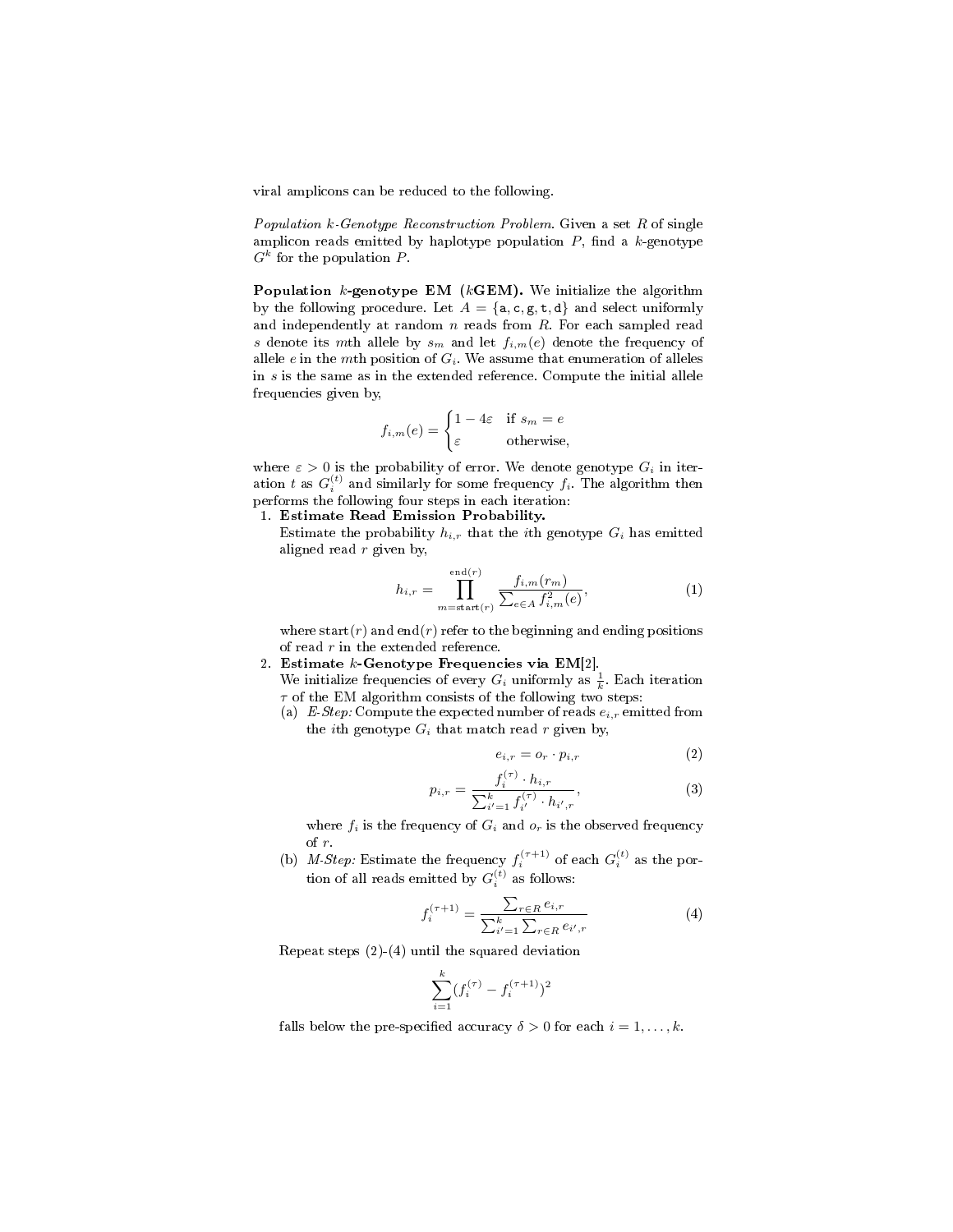viral amplicons can be reduced to the following.

Population  $k$ -Genotype Reconstruction Problem. Given a set  $R$  of single amplicon reads emitted by haplotype population  $P$ , find a  $k$ -genotype  $G^k$  for the population P.

**Population**  $k$ -genotype EM ( $k$ GEM). We initialize the algorithm by the following procedure. Let  $A = \{a, c, g, t, d\}$  and select uniformly and independently at random  $n$  reads from  $R$ . For each sampled read s denote its mth allele by  $s_m$  and let  $f_{i,m}(e)$  denote the frequency of allele e in the mth position of  $G_i$ . We assume that enumeration of alleles in s is the same as in the extended reference. Compute the initial allele frequencies given by,

$$
f_{i,m}(e) = \begin{cases} 1 - 4\varepsilon & \text{if } s_m = e \\ \varepsilon & \text{otherwise,} \end{cases}
$$

where  $\varepsilon > 0$  is the probability of error. We denote genotype  $G_i$  in iteration t as  $G_i^{(t)}$  and similarly for some frequency  $f_i$ . The algorithm then performs the following four steps in each iteration:

- 1. Estimate Read Emission Probability.
	- Estimate the probability  $h_{i,r}$  that the *i*th genotype  $G_i$  has emitted aligned read  $r$  given by,

$$
h_{i,r} = \prod_{m = start(r)}^{end(r)} \frac{f_{i,m}(r_m)}{\sum_{e \in A} f_{i,m}^2(e)},
$$
\n(1)

where start( $r$ ) and end( $r$ ) refer to the beginning and ending positions of read  $r$  in the extended reference.

- 2. Estimate  $k$ -Genotype Frequencies via EM[2].
	- We initialize frequencies of every  $G_i$  uniformly as  $\frac{1}{k}$ . Each iteration  $\tau$  of the EM algorithm consists of the following two steps:
	- (a) E-Step: Compute the expected number of reads  $e_{i,r}$  emitted from the *i*th genotype  $G_i$  that match read r given by,

$$
e_{i,r} = o_r \cdot p_{i,r} \tag{2}
$$

$$
p_{i,r} = \frac{f_i^{(\tau)} \cdot h_{i,r}}{\sum_{i'=1}^k f_{i'}^{(\tau)} \cdot h_{i',r}},\tag{3}
$$

where  $f_i$  is the frequency of  $G_i$  and  $o_r$  is the observed frequency of r.

(b) M-Step: Estimate the frequency  $f_i^{(\tau+1)}$  of each  $G_i^{(t)}$  as the portion of all reads emitted by  $G_i^{(t)}$  as follows:

$$
f_i^{(\tau+1)} = \frac{\sum_{r \in R} e_{i,r}}{\sum_{i'=1}^k \sum_{r \in R} e_{i',r}}
$$
(4)

Repeat steps (2)-(4) until the squared deviation

$$
\sum_{i=1}^{k} (f_i^{(\tau)} - f_i^{(\tau+1)})^2
$$

falls below the pre-specified accuracy  $\delta > 0$  for each  $i = 1, \ldots, k$ .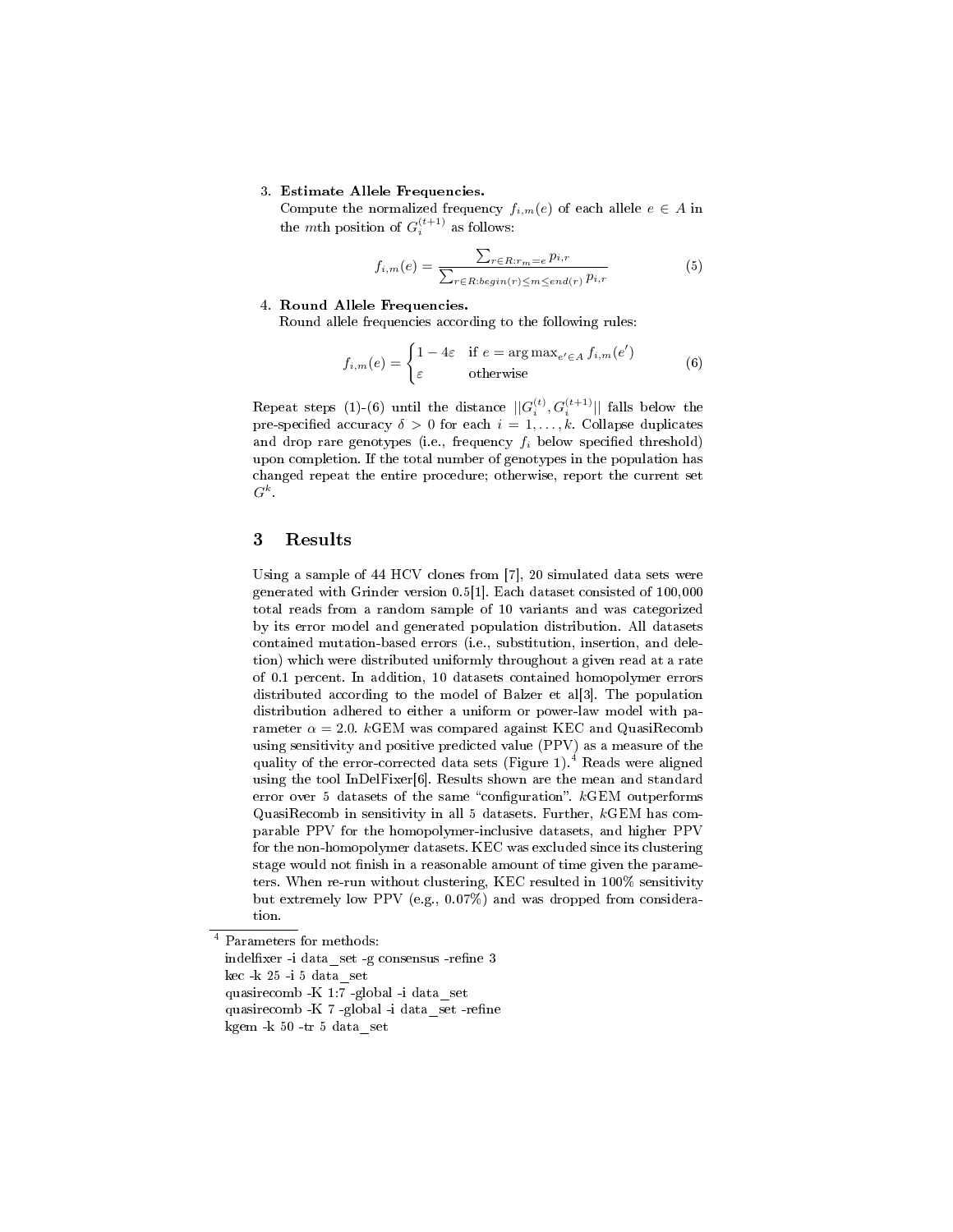#### 3. Estimate Allele Frequencies.

Compute the normalized frequency  $f_{i,m}(e)$  of each allele  $e \in A$  in the mth position of  $G_i^{(t+1)}$  as follows:

$$
f_{i,m}(e) = \frac{\sum_{r \in R: r_m = e} p_{i,r}}{\sum_{r \in R: begin(r) \le m \le end(r)} p_{i,r}}
$$
(5)

#### 4. Round Allele Frequencies.

Round allele frequencies according to the following rules:

$$
f_{i,m}(e) = \begin{cases} 1 - 4\varepsilon & \text{if } e = \arg \max_{e' \in A} f_{i,m}(e') \\ \varepsilon & \text{otherwise} \end{cases}
$$
(6)

Repeat steps (1)-(6) until the distance  $||G_i^{(t)}, G_i^{(t+1)}||$  falls below the pre-specified accuracy  $\delta > 0$  for each  $i = 1, \ldots, k$ . Collapse duplicates and drop rare genotypes (i.e., frequency  $f_i$  below specified threshold) upon completion. If the total number of genotypes in the population has changed repeat the entire procedure; otherwise, report the current set  $G^k$ .

### 3 Results

Using a sample of 44 HCV clones from [7], 20 simulated data sets were generated with Grinder version 0.5[1]. Each dataset consisted of 100,000 total reads from a random sample of 10 variants and was categorized by its error model and generated population distribution. All datasets contained mutation-based errors (i.e., substitution, insertion, and deletion) which were distributed uniformly throughout a given read at a rate of 0.1 percent. In addition, 10 datasets contained homopolymer errors distributed according to the model of Balzer et al[3]. The population distribution adhered to either a uniform or power-law model with parameter  $\alpha = 2.0$ . kGEM was compared against KEC and QuasiRecomb using sensitivity and positive predicted value (PPV) as a measure of the quality of the error-corrected data sets (Figure 1).<sup>4</sup> Reads were aligned using the tool InDelFixer[6]. Results shown are the mean and standard error over 5 datasets of the same "configuration".  $k$ GEM outperforms QuasiRecomb in sensitivity in all 5 datasets. Further, kGEM has comparable PPV for the homopolymer-inclusive datasets, and higher PPV for the non-homopolymer datasets. KEC was excluded since its clustering stage would not finish in a reasonable amount of time given the parameters. When re-run without clustering, KEC resulted in 100% sensitivity but extremely low PPV (e.g., 0.07%) and was dropped from consideration.

<sup>4</sup> Parameters for methods:

indelfixer -i data set -g consensus -refine 3 kec -k $25$ -i $5$  data $\,$ set

quasirecomb -K 1:7 -global -i data\_set

quasirecomb -K 7 -global -i data set -refine

kgem -k 50 -tr 5 data\_set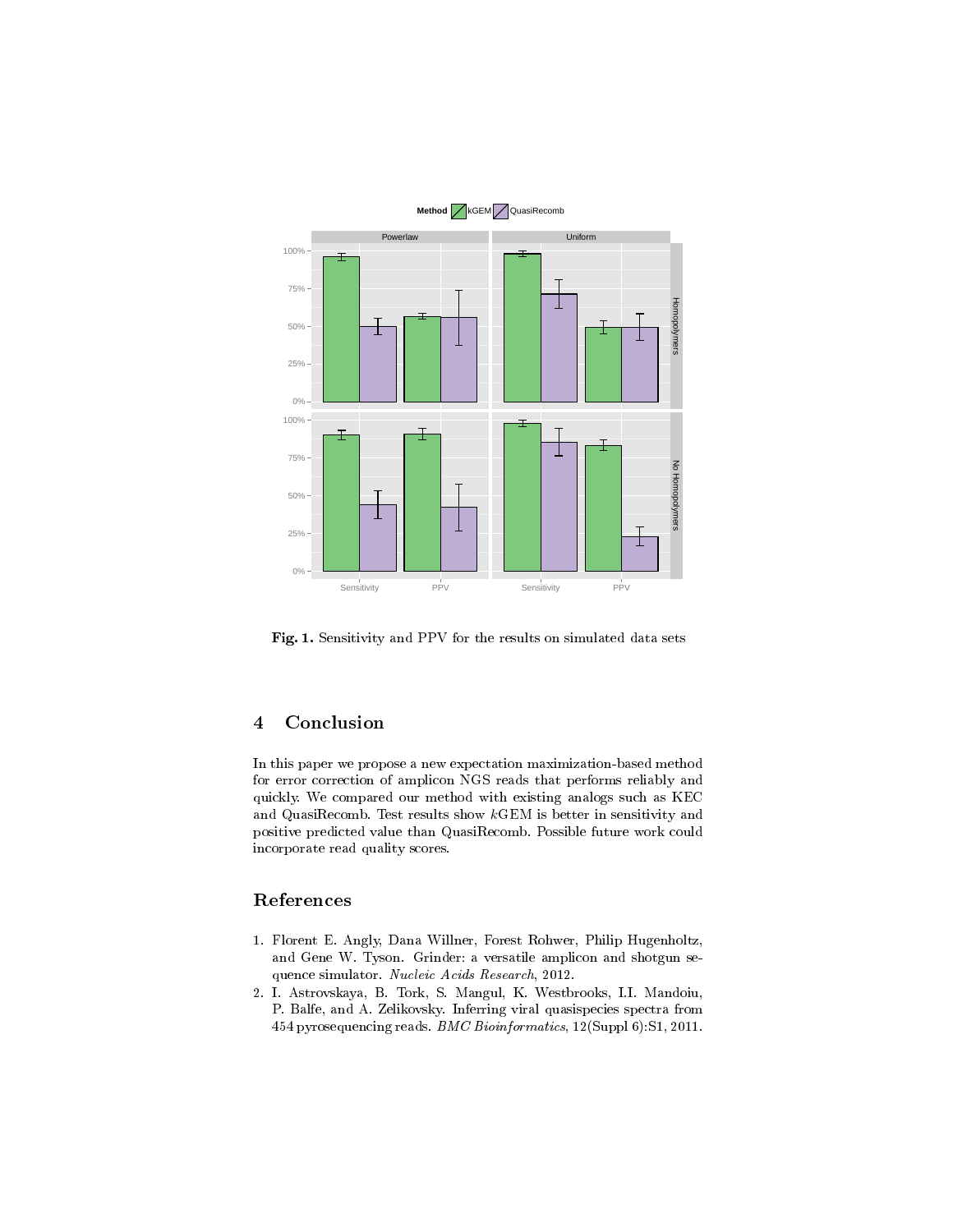

Fig. 1. Sensitivity and PPV for the results on simulated data sets

## 4 Conclusion

In this paper we propose a new expectation maximization-based method for error correction of amplicon NGS reads that performs reliably and quickly. We compared our method with existing analogs such as KEC and QuasiRecomb. Test results show kGEM is better in sensitivity and positive predicted value than QuasiRecomb. Possible future work could incorporate read quality scores.

## References

- 1. Florent E. Angly, Dana Willner, Forest Rohwer, Philip Hugenholtz, and Gene W. Tyson. Grinder: a versatile amplicon and shotgun sequence simulator. Nucleic Acids Research, 2012.
- 2. I. Astrovskaya, B. Tork, S. Mangul, K. Westbrooks, I.I. Mandoiu, P. Balfe, and A. Zelikovsky. Inferring viral quasispecies spectra from 454 pyrosequencing reads. BMC Bioinformatics, 12(Suppl 6):S1, 2011.